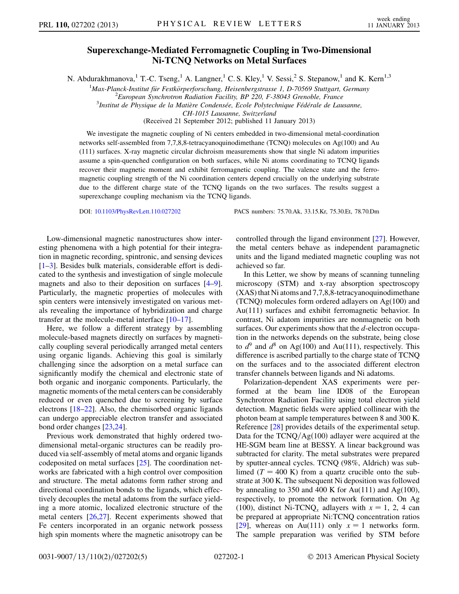## Superexchange-Mediated Ferromagnetic Coupling in Two-Dimensional Ni-TCNQ Networks on Metal Surfaces

N. Abdurakhmanova,<sup>1</sup> T.-C. Tseng,<sup>1</sup> A. Langner,<sup>1</sup> C. S. Kley,<sup>1</sup> V. Sessi,<sup>2</sup> S. Stepanow,<sup>1</sup> and K. Kern<sup>1,3</sup>

<sup>1</sup>Max-Planck-Institut für Festkörperforschung, Heisenbergstrasse 1, D-70569 Stuttgart, Germany<br><sup>2</sup>European Synchrotron Padiation Eacility, BP 220, E 38043 Granoble, France

 $E^2$ European Synchrotron Radiation Facility, BP 220, F-38043 Grenoble, France

 ${}^{3}$ Institut de Physique de la Matière Condensée, Ecole Polytechnique Fédérale de Lausanne,

CH-1015 Lausanne, Switzerland

(Received 21 September 2012; published 11 January 2013)

We investigate the magnetic coupling of Ni centers embedded in two-dimensional metal-coordination networks self-assembled from 7,7,8,8-tetracyanoquinodimethane (TCNQ) molecules on Ag(100) and Au (111) surfaces. X-ray magnetic circular dichroism measurements show that single Ni adatom impurities assume a spin-quenched configuration on both surfaces, while Ni atoms coordinating to TCNQ ligands recover their magnetic moment and exhibit ferromagnetic coupling. The valence state and the ferromagnetic coupling strength of the Ni coordination centers depend crucially on the underlying substrate due to the different charge state of the TCNQ ligands on the two surfaces. The results suggest a superexchange coupling mechanism via the TCNQ ligands.

DOI: [10.1103/PhysRevLett.110.027202](http://dx.doi.org/10.1103/PhysRevLett.110.027202) PACS numbers: 75.70.Ak, 33.15.Kr, 75.30.Et, 78.70.Dm

Low-dimensional magnetic nanostructures show interesting phenomena with a high potential for their integration in magnetic recording, spintronic, and sensing devices [\[1–](#page-4-0)[3](#page-4-1)]. Besides bulk materials, considerable effort is dedicated to the synthesis and investigation of single molecule magnets and also to their deposition on surfaces [\[4](#page-4-2)–[9\]](#page-4-3). Particularly, the magnetic properties of molecules with spin centers were intensively investigated on various metals revealing the importance of hybridization and charge transfer at the molecule-metal interface [\[10–](#page-4-4)[17](#page-4-5)].

Here, we follow a different strategy by assembling molecule-based magnets directly on surfaces by magnetically coupling several periodically arranged metal centers using organic ligands. Achieving this goal is similarly challenging since the adsorption on a metal surface can significantly modify the chemical and electronic state of both organic and inorganic components. Particularly, the magnetic moments of the metal centers can be considerably reduced or even quenched due to screening by surface electrons [[18](#page-4-6)–[22\]](#page-4-7). Also, the chemisorbed organic ligands can undergo appreciable electron transfer and associated bond order changes [[23](#page-4-8)[,24\]](#page-4-9).

Previous work demonstrated that highly ordered twodimensional metal-organic structures can be readily produced via self-assembly of metal atoms and organic ligands codeposited on metal surfaces [[25](#page-4-10)]. The coordination networks are fabricated with a high control over composition and structure. The metal adatoms form rather strong and directional coordination bonds to the ligands, which effectively decouples the metal adatoms from the surface yielding a more atomic, localized electronic structure of the metal centers [[26](#page-4-11),[27](#page-4-12)]. Recent experiments showed that Fe centers incorporated in an organic network possess high spin moments where the magnetic anisotropy can be controlled through the ligand environment [\[27\]](#page-4-12). However, the metal centers behave as independent paramagnetic units and the ligand mediated magnetic coupling was not achieved so far.

In this Letter, we show by means of scanning tunneling microscopy (STM) and x-ray absorption spectroscopy (XAS) that Ni atoms and 7,7,8,8-tetracyanoquinodimethane (TCNQ) molecules form ordered adlayers on Ag(100) and Au(111) surfaces and exhibit ferromagnetic behavior. In contrast, Ni adatom impurities are nonmagnetic on both surfaces. Our experiments show that the d-electron occupation in the networks depends on the substrate, being close to  $d^9$  and  $d^8$  on Ag(100) and Au(111), respectively. This difference is ascribed partially to the charge state of TCNQ on the surfaces and to the associated different electron transfer channels between ligands and Ni adatoms.

Polarization-dependent XAS experiments were performed at the beam line ID08 of the European Synchrotron Radiation Facility using total electron yield detection. Magnetic fields were applied collinear with the photon beam at sample temperatures between 8 and 300 K. Reference [[28](#page-4-13)] provides details of the experimental setup. Data for the  $TCNQ/Ag(100)$  adlayer were acquired at the HE-SGM beam line at BESSY. A linear background was subtracted for clarity. The metal substrates were prepared by sputter-anneal cycles. TCNQ (98%, Aldrich) was sublimed ( $T = 400$  K) from a quartz crucible onto the substrate at 300 K. The subsequent Ni deposition was followed by annealing to 350 and 400 K for Au(111) and Ag(100), respectively, to promote the network formation. On Ag (100), distinct Ni-TCNQ<sub>x</sub> adlayers with  $x = 1, 2, 4$  can be prepared at appropriate Ni:TCNQ concentration ratios [\[29\]](#page-4-14), whereas on Au(111) only  $x = 1$  networks form. The sample preparation was verified by STM before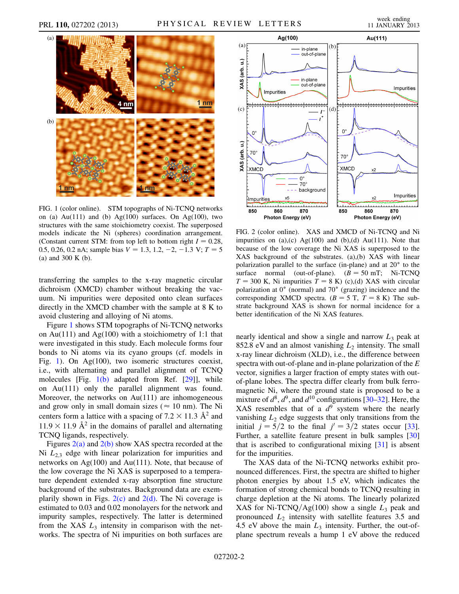<span id="page-1-0"></span>

<span id="page-1-1"></span>FIG. 1 (color online). STM topographs of Ni-TCNQ networks on (a) Au $(111)$  and (b) Ag $(100)$  surfaces. On Ag $(100)$ , two structures with the same stoichiometry coexist. The superposed models indicate the Ni (spheres) coordination arrangement. (Constant current STM: from top left to bottom right  $I = 0.28$ , 0.5, 0.26, 0.2 nA; sample bias  $V = 1.3, 1.2, -2, -1.3$  V;  $T = 5$ (a) and 300 K (b).

transferring the samples to the x-ray magnetic circular dichroism (XMCD) chamber without breaking the vacuum. Ni impurities were deposited onto clean surfaces directly in the XMCD chamber with the sample at 8 K to avoid clustering and alloying of Ni atoms.

Figure [1](#page-1-0) shows STM topographs of Ni-TCNQ networks on Au(111) and Ag(100) with a stoichiometry of 1:1 that were investigated in this study. Each molecule forms four bonds to Ni atoms via its cyano groups (cf. models in Fig. [1\)](#page-1-0). On Ag(100), two isomeric structures coexist, i.e., with alternating and parallel alignment of TCNQ molecules [Fig. [1\(b\)](#page-1-1) adapted from Ref. [[29](#page-4-14)]], while on Au(111) only the parallel alignment was found. Moreover, the networks on Au(111) are inhomogeneous and grow only in small domain sizes ( $\approx 10$  nm). The Ni centers form a lattice with a spacing of  $7.2 \times 11.3$  Å<sup>2</sup> and  $11.9 \times 11.9$  Å<sup>2</sup> in the domains of parallel and alternating  $11.9 \times 11.9$   $\AA^2$  in the domains of parallel and alternating<br>TCNO ligands respectively TCNQ ligands, respectively.

Figures  $2(a)$  and  $2(b)$  show XAS spectra recorded at the Ni  $L_{2,3}$  edge with linear polarization for impurities and networks on Ag(100) and Au(111). Note, that because of the low coverage the Ni XAS is superposed to a temperature dependent extended x-ray absorption fine structure background of the substrates. Background data are exemplarily shown in Figs.  $2(c)$  and  $2(d)$ . The Ni coverage is estimated to 0.03 and 0.02 monolayers for the network and impurity samples, respectively. The latter is determined from the XAS  $L_3$  intensity in comparison with the networks. The spectra of Ni impurities on both surfaces are



<span id="page-1-2"></span>FIG. 2 (color online). XAS and XMCD of Ni-TCNQ and Ni impurities on  $(a)$ , $(c)$  Ag $(100)$  and  $(b)$ , $(d)$  Au $(111)$ . Note that because of the low coverage the Ni XAS is superposed to the XAS background of the substrates. (a),(b) XAS with linear polarization parallel to the surface (in-plane) and at  $20^{\circ}$  to the surface normal (out-of-plane).  $(B = 50 \text{ mT}; \text{ Ni-TCNQ})$ <br> $T = 300 \text{ K}$  Ni impurities  $T = 8 \text{ K}$ ) (c) (d) XAS with circular  $T = 300$  K, Ni impurities  $T = 8$  K) (c),(d) XAS with circular polarization at 0° (normal) and 70° (grazing) incidence and the polarization at  $0^{\circ}$  (normal) and  $70^{\circ}$  (grazing) incidence and the corresponding XMCD spectra.  $(B = 5$  T,  $T = 8$  K) The substrate background XAS is shown for normal incidence for a better identification of the Ni XAS features.

nearly identical and show a single and narrow  $L_3$  peak at 852.8 eV and an almost vanishing  $L_2$  intensity. The small x-ray linear dichroism (XLD), i.e., the difference between spectra with out-of-plane and in-plane polarization of the E vector, signifies a larger fraction of empty states with outof-plane lobes. The spectra differ clearly from bulk ferromagnetic Ni, where the ground state is proposed to be a mixture of  $d^8$ ,  $d^9$ , and  $d^{10}$  configurations [[30](#page-4-15)–[32](#page-4-16)]. Here, the XAS resembles that of a  $d^{9}$  system where the nearly vanishing  $L<sub>2</sub>$  edge suggests that only transitions from the initial  $j = 5/2$  to the final  $j' = 3/2$  states occur [[33\]](#page-4-17). Further, a satellite feature present in bulk samples [\[30\]](#page-4-15) that is ascribed to configurational mixing [[31](#page-4-18)] is absent for the impurities.

The XAS data of the Ni-TCNQ networks exhibit pronounced differences. First, the spectra are shifted to higher photon energies by about 1.5 eV, which indicates the formation of strong chemical bonds to TCNQ resulting in charge depletion at the Ni atoms. The linearly polarized XAS for Ni-TCNQ/Ag $(100)$  show a single  $L_3$  peak and pronounced  $L<sub>2</sub>$  intensity with satellite features 3.5 and 4.5 eV above the main  $L_3$  intensity. Further, the out-ofplane spectrum reveals a hump 1 eV above the reduced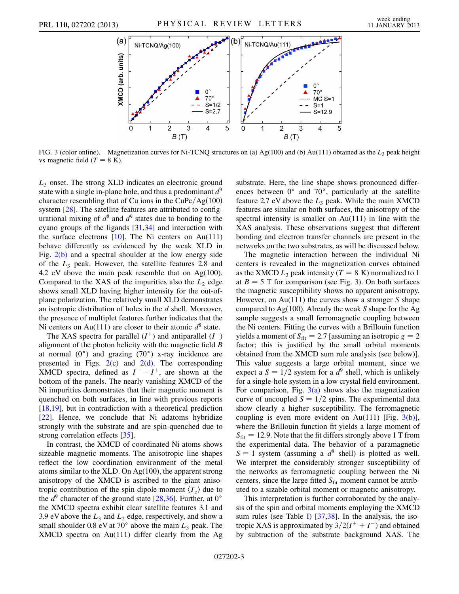<span id="page-2-0"></span>

<span id="page-2-1"></span>FIG. 3 (color online). Magnetization curves for Ni-TCNQ structures on (a) Ag(100) and (b) Au(111) obtained as the  $L_3$  peak height vs magnetic field  $(T = 8 \text{ K})$ .

 $L<sub>3</sub>$  onset. The strong XLD indicates an electronic ground state with a single in-plane hole, and thus a predominant  $d^9$ character resembling that of Cu ions in the  $CuPc/Ag(100)$ system [\[28\]](#page-4-13). The satellite features are attributed to configurational mixing of  $d^8$  and  $d^9$  states due to bonding to the cyano groups of the ligands [[31](#page-4-18),[34](#page-4-19)] and interaction with the surface electrons  $[10]$ . The Ni centers on Au(111) behave differently as evidenced by the weak XLD in Fig.  $2(b)$  and a spectral shoulder at the low energy side of the  $L_3$  peak. However, the satellite features 2.8 and 4.2 eV above the main peak resemble that on Ag(100). Compared to the XAS of the impurities also the  $L_2$  edge shows small XLD having higher intensity for the out-ofplane polarization. The relatively small XLD demonstrates an isotropic distribution of holes in the  $d$  shell. Moreover, the presence of multiplet features further indicates that the Ni centers on Au(111) are closer to their atomic  $d^8$  state.

The XAS spectra for parallel  $(I^+)$  and antiparallel  $(I^-)$ alignment of the photon helicity with the magnetic field B at normal  $(0^{\circ})$  and grazing  $(70^{\circ})$  x-ray incidence are presented in Figs.  $2(c)$  and  $2(d)$ . The corresponding XMCD spectra, defined as  $I^- - I^+$ , are shown at the bottom of the panels. The nearly vanishing XMCD of the Ni impurities demonstrates that their magnetic moment is quenched on both surfaces, in line with previous reports [\[18](#page-4-6)[,19\]](#page-4-20), but in contradiction with a theoretical prediction [\[22\]](#page-4-7). Hence, we conclude that Ni adatoms hybridize strongly with the substrate and are spin-quenched due to strong correlation effects [[35](#page-4-21)].

In contrast, the XMCD of coordinated Ni atoms shows sizeable magnetic moments. The anisotropic line shapes reflect the low coordination environment of the metal atoms similar to the XLD. On Ag(100), the apparent strong anisotropy of the XMCD is ascribed to the giant anisotropic contribution of the spin dipole moment  $\langle T_z \rangle$  due to the  $d^9$  character of the ground state [[28,](#page-4-13)[36](#page-4-22)]. Further, at 0<sup>o</sup> the XMCD spectra exhibit clear satellite features 3.1 and 3.9 eV above the  $L_3$  and  $L_2$  edge, respectively, and show a small shoulder 0.8 eV at 70 $^{\circ}$  above the main  $L_3$  peak. The XMCD spectra on Au(111) differ clearly from the Ag substrate. Here, the line shape shows pronounced differences between  $0^{\circ}$  and  $70^{\circ}$ , particularly at the satellite feature 2.7 eV above the  $L_3$  peak. While the main XMCD features are similar on both surfaces, the anisotropy of the spectral intensity is smaller on Au(111) in line with the XAS analysis. These observations suggest that different bonding and electron transfer channels are present in the networks on the two substrates, as will be discussed below.

The magnetic interaction between the individual Ni centers is revealed in the magnetization curves obtained as the XMCD  $L_3$  peak intensity (T = 8 K) normalized to 1 at  $B = 5$  T for comparison (see Fig. [3](#page-2-0)). On both surfaces the magnetic susceptibility shows no apparent anisotropy. However, on Au(111) the curves show a stronger  $S$  shape compared to Ag $(100)$ . Already the weak S shape for the Ag sample suggests a small ferromagnetic coupling between the Ni centers. Fitting the curves with a Brillouin function yields a moment of  $S_{\text{fit}} = 2.7$  [assuming an isotropic  $g = 2$ factor; this is justified by the small orbital moments obtained from the XMCD sum rule analysis (see below)]. This value suggests a large orbital moment, since we expect a  $S = 1/2$  system for a  $d^9$  shell, which is unlikely for a single-hole system in a low crystal field environment. For comparison, Fig.  $3(a)$  shows also the magnetization curve of uncoupled  $S = 1/2$  spins. The experimental data show clearly a higher susceptibility. The ferromagnetic coupling is even more evident on Au(111) [Fig.  $3(b)$ ], where the Brillouin function fit yields a large moment of  $S_{\text{fit}} = 12.9$ . Note that the fit differs strongly above 1 T from the experimental data. The behavior of a paramagnetic  $S = 1$  system (assuming a  $d^8$  shell) is plotted as well. We interpret the considerably stronger susceptibility of the networks as ferromagnetic coupling between the Ni centers, since the large fitted  $S<sub>fit</sub>$  moment cannot be attributed to a sizable orbital moment or magnetic anisotropy.

This interpretation is further corroborated by the analysis of the spin and orbital moments employing the XMCD sum rules (see Table [I\)](#page-3-0) [[37](#page-4-23),[38](#page-4-24)]. In the analysis, the isotropic XAS is approximated by  $3/2(I^+ + I^-)$  and obtained by subtraction of the substrate background XAS. The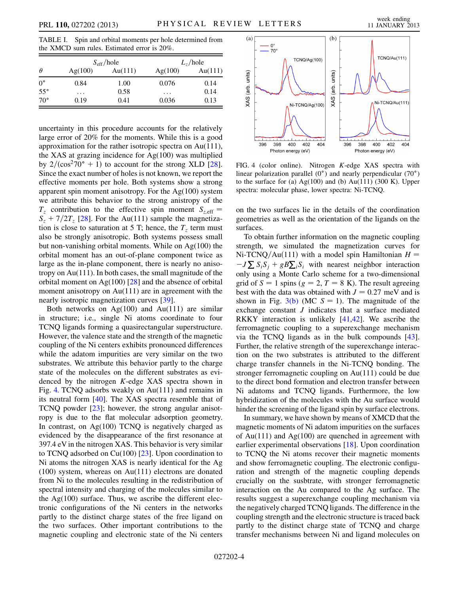<span id="page-3-0"></span>TABLE I. Spin and orbital moments per hole determined from the XMCD sum rules. Estimated error is 20%.

| $\theta$     | $S_{\text{eff}}$ /hole |         | $L_{7}/hole$ |         |
|--------------|------------------------|---------|--------------|---------|
|              | Ag(100)                | Au(111) | Ag(100)      | Au(111) |
| $0^{\circ}$  | 0.84                   | 1.00    | 0.076        | 0.14    |
| $55^{\circ}$ | .                      | 0.58    | .            | 0.14    |
| $70^{\circ}$ | 0.19                   | 0.41    | 0.036        | 0.13    |

uncertainty in this procedure accounts for the relatively large error of 20% for the moments. While this is a good approximation for the rather isotropic spectra on Au(111), the XAS at grazing incidence for Ag(100) was multiplied by  $2/(\cos^2 70^\circ + 1)$  to account for the strong XLD [\[28\]](#page-4-13). Since the exact number of holes is not known, we report the effective moments per hole. Both systems show a strong apparent spin moment anisotropy. For the  $Ag(100)$  system we attribute this behavior to the strong anistropy of the  $T_z$  contribution to the effective spin moment  $S_{z,eff}$  =  $S_z + 7/2T_z$  [\[28\]](#page-4-13). For the Au(111) sample the magnetization is close to saturation at 5 T; hence, the  $T<sub>z</sub>$  term must also be strongly anisotropic. Both systems possess small but non-vanishing orbital moments. While on Ag(100) the orbital moment has an out-of-plane component twice as large as the in-plane component, there is nearly no anisotropy on Au(111). In both cases, the small magnitude of the orbital moment on Ag $(100)$  [\[28\]](#page-4-13) and the absence of orbital moment anisotropy on Au(111) are in agreement with the nearly isotropic magnetization curves [\[39\]](#page-4-25).

Both networks on  $Ag(100)$  and  $Au(111)$  are similar in structure; i.e., single Ni atoms coordinate to four TCNQ ligands forming a quasirectangular superstructure. However, the valence state and the strength of the magnetic coupling of the Ni centers exhibits pronounced differences while the adatom impurities are very similar on the two substrates. We attribute this behavior partly to the charge state of the molecules on the different substrates as evidenced by the nitrogen K-edge XAS spectra shown in Fig. [4.](#page-3-1) TCNQ adsorbs weakly on Au(111) and remains in its neutral form [\[40](#page-4-26)]. The XAS spectra resemble that of TCNQ powder [\[23\]](#page-4-8); however, the strong angular anisotropy is due to the flat molecular adsorption geometry. In contrast, on  $Ag(100)$  TCNQ is negatively charged as evidenced by the disappearance of the first resonance at 397.4 eV in the nitrogen XAS. This behavior is very similar to TCNQ adsorbed on Cu(100) [\[23\]](#page-4-8). Upon coordination to Ni atoms the nitrogen XAS is nearly identical for the Ag (100) system, whereas on Au(111) electrons are donated from Ni to the molecules resulting in the redistribution of spectral intensity and charging of the molecules similar to the  $Ag(100)$  surface. Thus, we ascribe the different electronic configurations of the Ni centers in the networks partly to the distinct charge states of the free ligand on the two surfaces. Other important contributions to the magnetic coupling and electronic state of the Ni centers

<span id="page-3-1"></span>

FIG. 4 (color online). Nitrogen K-edge XAS spectra with linear polarization parallel  $(0^{\circ})$  and nearly perpendicular  $(70^{\circ})$ to the surface for (a)  $Ag(100)$  and (b)  $Au(111)$  (300 K). Upper spectra: molecular phase, lower spectra: Ni-TCNQ.

on the two surfaces lie in the details of the coordination geometries as well as the orientation of the ligands on the surfaces.

To obtain further information on the magnetic coupling strength, we simulated the magnetization curves for Ni-TCNQ/Au(111) with a model spin Hamiltonian  $H =$  $-J\sum S_i S_j + gB\sum_i S_i$  with nearest neighbor interaction only using a Monte Carlo scheme for a two-dimensional grid of  $S = 1$  spins ( $g = 2, T = 8$  K). The result agreeing best with the data was obtained with  $J = 0.27$  meV and is shown in Fig. [3\(b\)](#page-2-1) (MC  $S = 1$ ). The magnitude of the exchange constant J indicates that a surface mediated RKKY interaction is unlikely [[41](#page-4-27),[42](#page-4-28)]. We ascribe the ferromagnetic coupling to a superexchange mechanism via the TCNQ ligands as in the bulk compounds [[43\]](#page-4-29). Further, the relative strength of the superexchange interaction on the two substrates is attributed to the different charge transfer channels in the Ni-TCNQ bonding. The stronger ferromagnetic coupling on Au(111) could be due to the direct bond formation and electron transfer between Ni adatoms and TCNQ ligands. Furthermore, the low hybridization of the molecules with the Au surface would hinder the screening of the ligand spin by surface electrons.

In summary, we have shown by means of XMCD that the magnetic moments of Ni adatom impurities on the surfaces of  $Au(111)$  and  $Ag(100)$  are quenched in agreement with earlier experimental observations [\[18\]](#page-4-6). Upon coordination to TCNQ the Ni atoms recover their magnetic moments and show ferromagnetic coupling. The electronic configuration and strength of the magnetic coupling depends crucially on the susbtrate, with stronger ferromagnetic interaction on the Au compared to the Ag surface. The results suggest a superexchange coupling mechanism via the negatively charged TCNQ ligands. The difference in the coupling strength and the electronic structure is traced back partly to the distinct charge state of TCNQ and charge transfer mechanisms between Ni and ligand molecules on